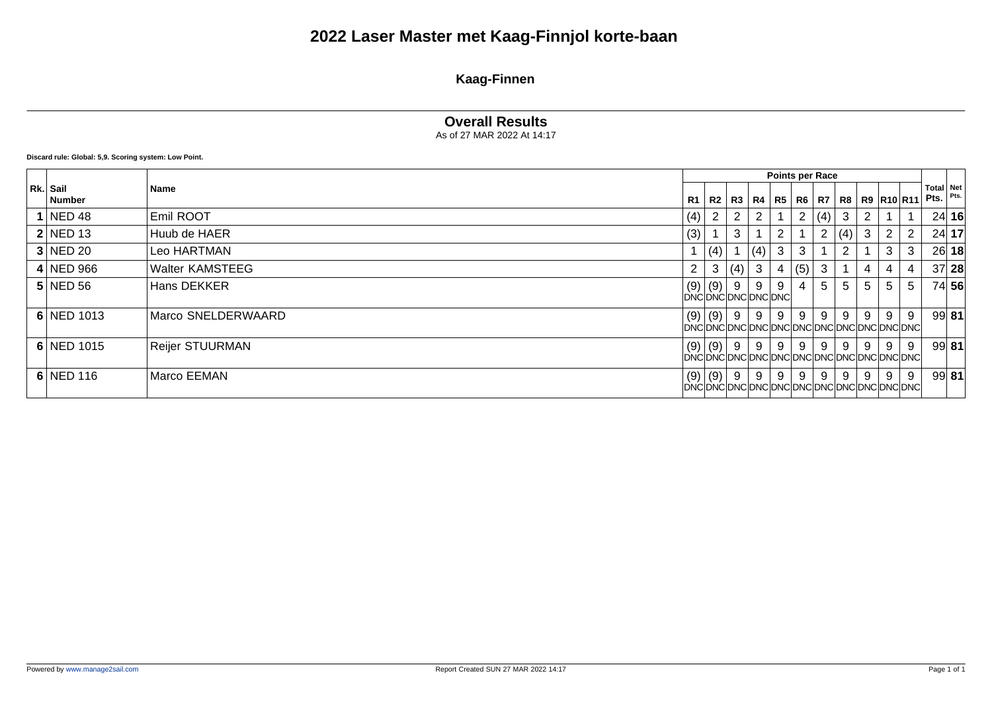## **2022 Laser Master met Kaag-Finnjol korte-baan**

### **Kaag-Finnen**

#### **Overall Results**

As of 27 MAR 2022 At 14:17

**Discard rule: Global: 5,9. Scoring system: Low Point.**

|                    |                        |              |     |                       |     |              |         | Points per Race |     |   |                                            |                |                           |         |
|--------------------|------------------------|--------------|-----|-----------------------|-----|--------------|---------|-----------------|-----|---|--------------------------------------------|----------------|---------------------------|---------|
| Rk. Sail<br>Number | Name                   | R1           | R2  | R3   R4               |     | R5   R6   R7 |         |                 |     |   | R8   R9   R10   R11                        |                | Total Net<br>Pts. $Pts$ . |         |
| $1$ NED 48         | Emil ROOT              | (4)          |     | 2                     |     |              |         | 2 (4)           | 3   |   |                                            |                |                           | 24 16   |
| $2$ NED 13         | Huub de HAER           | (3)          |     | 3                     |     | 2            |         | $\overline{2}$  | (4) | 3 | 2                                          | $\overline{2}$ |                           | 24 17   |
| 3 NED20            | Leo HARTMAN            |              | (4) |                       | (4) | 3            | 3       |                 |     |   | 3                                          | 3              |                           | 26 18   |
| $4$ NED 966        | <b>Walter KAMSTEEG</b> | $\mathbf{2}$ | 3   | (4)                   | 3   | 4            | $(5)$ 3 |                 |     | 4 | 4                                          | 4              |                           | 37 28   |
| $5$ NED 56         | Hans DEKKER            | (9)          | (9) | -9<br>DNCDNCDNCDNCDNC | 9   | 9            | 4       | 5               | 5   | 5 | 5                                          | 5              |                           | 74 56   |
| 6 NED 1013         | Marco SNELDERWAARD     | (9)          | (9) | -9                    | 9   | 9            | 9       | 9               | 9   | 9 | 9<br>DNCDNCDNCDNCDNCDNCDNCDNCDNCDNCDNCDNCD | 9              |                           | 99 81   |
| $6 $ NED 1015      | <b>Reijer STUURMAN</b> | (9)          | (9) | -9                    | 9   | 9            | 9       | 9               | 9   | 9 | 9<br>DNCDNCDNCDNCDNCDNCDNCDNCDNCDNCDNCDNCD | 9              |                           | $99$ 81 |
| $6 NED$ 116        | Marco EEMAN            | (9)          | (9) | 9                     | 9   | 9            | 9       | 9               | 9   | 9 | 9<br>DNCDNCDNCDNCDNCDNCDNCDNCDNCDNCDNCDNCD | $9\,$          |                           | $99$ 81 |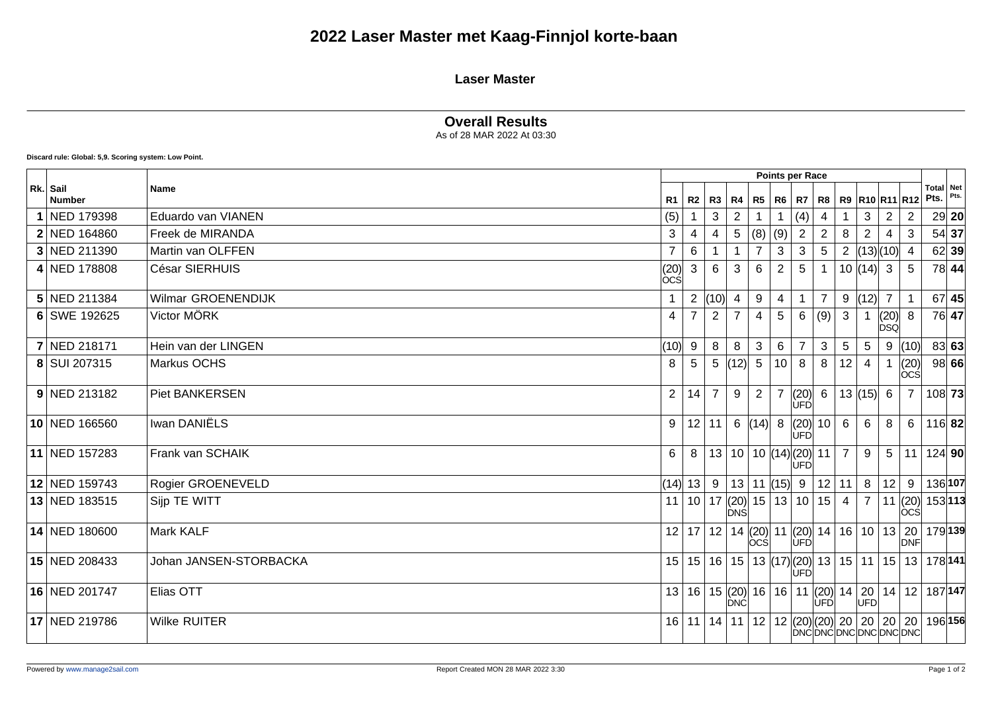## **2022 Laser Master met Kaag-Finnjol korte-baan**

#### **Laser Master**

#### **Overall Results**

As of 28 MAR 2022 At 03:30

**Discard rule: Global: 5,9. Scoring system: Low Point.**

|                           |                        |                                                        |                |                |                |                 | <b>Points per Race</b>                                 |                      |                 |                |                     |                                                  |                                                                               |                   |         |
|---------------------------|------------------------|--------------------------------------------------------|----------------|----------------|----------------|-----------------|--------------------------------------------------------|----------------------|-----------------|----------------|---------------------|--------------------------------------------------|-------------------------------------------------------------------------------|-------------------|---------|
| Rk. Sail<br><b>Number</b> | Name                   | R1                                                     | R <sub>2</sub> | $R3$ $R4$      |                | R5              | R6                                                     | R7                   | R8              |                |                     | R9 R10 R11 R12                                   |                                                                               | Total Net<br>Pts. | Pts.    |
| NED 179398                | Eduardo van VIANEN     | (5)                                                    |                | 3              | $\overline{2}$ |                 |                                                        | (4)                  |                 |                | 3                   | 2                                                | $\overline{2}$                                                                |                   | 29 20   |
| 2 NED 164860              | Freek de MIRANDA       | 3                                                      | 4              | 4              | 5              | (8)             | (9)                                                    | $\overline{2}$       | $\overline{c}$  | 8              | $\overline{2}$      | 4                                                | 3                                                                             | 54 37             |         |
| 3 NED 211390              | Martin van OLFFEN      | $\overline{7}$                                         | 6              |                |                |                 | 3                                                      | 3                    | 5               | $\mathbf{2}$   |                     | (13)(10)                                         | -4                                                                            | 62 39             |         |
| 4 NED 178808              | César SIERHUIS         | $\begin{matrix} \mid & 20 \\ \mid & \mid \end{matrix}$ | 3              | 6              | 3              | 6               | $\overline{2}$                                         | $5\overline{)}$      |                 |                | $10  (14)  \cdot 3$ |                                                  | 5                                                                             | 78 44             |         |
| 5 NED 211384              | Wilmar GROENENDIJK     |                                                        | 2              | (10)           | 4              | 9               | 4                                                      |                      | $\overline{7}$  | 9              | (12)                | $\overline{7}$                                   |                                                                               |                   | $67$ 45 |
| 6 SWE 192625              | Victor MÖRK            | 4                                                      |                | 2              | 7              | 4               | $5\phantom{.0}$                                        | 6                    | (9)             | 3              |                     | $\begin{matrix} (20) \\ \text{DSQ} \end{matrix}$ | 8                                                                             |                   | 76 47   |
| 7 NED 218171              | Hein van der LINGEN    | (10)                                                   | 9              | 8              | 8              | 3               | 6                                                      | $\overline{7}$       | 3               | $\overline{5}$ | $5\phantom{.0}$     | 9                                                | (10)                                                                          | 83 63             |         |
| 8 SUI 207315              | Markus OCHS            | 8                                                      | 5              | 5 <sup>5</sup> | (12)           | $5\phantom{.0}$ | 10                                                     | 8                    | 8               | 12             | 4                   |                                                  | (20)<br>lòcśl                                                                 |                   | 98 66   |
| 9 NED 213182              | <b>Piet BANKERSEN</b>  | 2                                                      | 14             | $\overline{7}$ | 9              | $\overline{2}$  | $\overline{7}$                                         | (20)<br>ÚFD          | 6               |                | 13  (15)   6        |                                                  | $\overline{7}$                                                                | $108$ 73          |         |
| 10 NED 166560             | Iwan DANIËLS           | 9                                                      | 12             | 11             | 6 $(14)$       |                 | 8                                                      | (20)<br><b>IUFDI</b> | 10 <sup>°</sup> | 6              | 6                   | 8                                                | 6                                                                             | $116$ 82          |         |
| 11 NED 157283             | Frank van SCHAIK       | 6                                                      | 8              |                |                |                 | 13   10   10   (14)   (20)                             | ÚFD                  | 11              | $\overline{7}$ | 9                   | $5\overline{)}$                                  | 11                                                                            | 124 90            |         |
| 12 NED 159743             | Rogier GROENEVELD      | (14) 13                                                |                | 9              |                |                 | $13$   11 $ (15)$   9                                  |                      | 12              | 11             | 8                   | 12                                               | 9                                                                             | 136 107           |         |
| 13 NED 183515             | Sijp TE WITT           | 11                                                     | 10             |                |                |                 | $\frac{17}{20}$ (20) $\left  \frac{15}{21} \right $ 13 | 10 <sup>1</sup>      | 15              | 4              | $\overline{7}$      | 11                                               | (20)<br> ÒCŚ                                                                  | 153113            |         |
| 14 NED 180600             | Mark KALF              |                                                        |                |                |                | locsl           |                                                        | <b>UFD</b>           |                 |                |                     |                                                  | 12   17   12   14   (20)   11   (20)   14   16   10   13   20  <br><b>DNF</b> | 179 139           |         |
| 15 NED 208433             | Johan JANSEN-STORBACKA |                                                        | 15 15          | 16             |                |                 | 15   13   (17)   (20)                                  | UFD                  |                 |                |                     | 13 15 11 15 13                                   |                                                                               | 178 141           |         |
| 16 NED 201747             | Elias OTT              |                                                        | 13 16          |                | <b>DNC</b>     |                 |                                                        |                      | ÙFD             |                | UFD                 | 15 (20) 16 16 11 (20) 14 20 14                   | 12 <sup>1</sup>                                                               | 187 147           |         |
| 17 NED 219786             | <b>Wilke RUITER</b>    |                                                        |                |                |                |                 |                                                        |                      |                 |                |                     | DNCDNCDNCDNCDNCDNC                               | 16   11   14   11   12   12  (20) (20)  20   20   20   20                     | 196 156           |         |